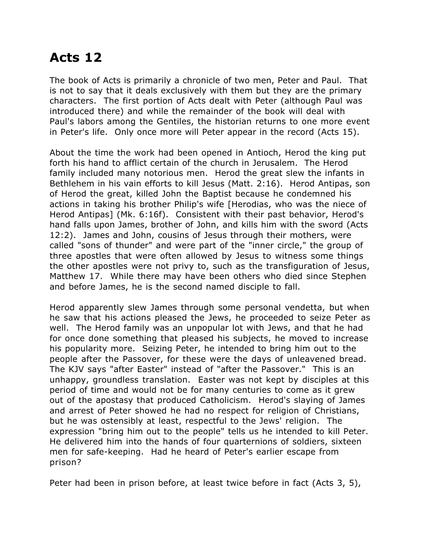## **Acts 12**

The book of Acts is primarily a chronicle of two men, Peter and Paul. That is not to say that it deals exclusively with them but they are the primary characters. The first portion of Acts dealt with Peter (although Paul was introduced there) and while the remainder of the book will deal with Paul's labors among the Gentiles, the historian returns to one more event in Peter's life. Only once more will Peter appear in the record (Acts 15).

About the time the work had been opened in Antioch, Herod the king put forth his hand to afflict certain of the church in Jerusalem. The Herod family included many notorious men. Herod the great slew the infants in Bethlehem in his vain efforts to kill Jesus (Matt. 2:16). Herod Antipas, son of Herod the great, killed John the Baptist because he condemned his actions in taking his brother Philip's wife [Herodias, who was the niece of Herod Antipas] (Mk. 6:16f). Consistent with their past behavior, Herod's hand falls upon James, brother of John, and kills him with the sword (Acts 12:2). James and John, cousins of Jesus through their mothers, were called "sons of thunder" and were part of the "inner circle," the group of three apostles that were often allowed by Jesus to witness some things the other apostles were not privy to, such as the transfiguration of Jesus, Matthew 17. While there may have been others who died since Stephen and before James, he is the second named disciple to fall.

Herod apparently slew James through some personal vendetta, but when he saw that his actions pleased the Jews, he proceeded to seize Peter as well. The Herod family was an unpopular lot with Jews, and that he had for once done something that pleased his subjects, he moved to increase his popularity more. Seizing Peter, he intended to bring him out to the people after the Passover, for these were the days of unleavened bread. The KJV says "after Easter" instead of "after the Passover." This is an unhappy, groundless translation. Easter was not kept by disciples at this period of time and would not be for many centuries to come as it grew out of the apostasy that produced Catholicism. Herod's slaying of James and arrest of Peter showed he had no respect for religion of Christians, but he was ostensibly at least, respectful to the Jews' religion. The expression "bring him out to the people" tells us he intended to kill Peter. He delivered him into the hands of four quarternions of soldiers, sixteen men for safe-keeping. Had he heard of Peter's earlier escape from prison?

Peter had been in prison before, at least twice before in fact (Acts 3, 5),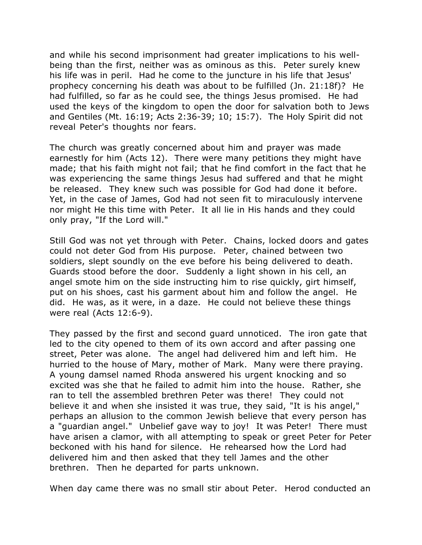and while his second imprisonment had greater implications to his wellbeing than the first, neither was as ominous as this. Peter surely knew his life was in peril. Had he come to the juncture in his life that Jesus' prophecy concerning his death was about to be fulfilled (Jn. 21:18f)? He had fulfilled, so far as he could see, the things Jesus promised. He had used the keys of the kingdom to open the door for salvation both to Jews and Gentiles (Mt. 16:19; Acts 2:36-39; 10; 15:7). The Holy Spirit did not reveal Peter's thoughts nor fears.

The church was greatly concerned about him and prayer was made earnestly for him (Acts 12). There were many petitions they might have made; that his faith might not fail; that he find comfort in the fact that he was experiencing the same things Jesus had suffered and that he might be released. They knew such was possible for God had done it before. Yet, in the case of James, God had not seen fit to miraculously intervene nor might He this time with Peter. It all lie in His hands and they could only pray, "If the Lord will."

Still God was not yet through with Peter. Chains, locked doors and gates could not deter God from His purpose. Peter, chained between two soldiers, slept soundly on the eve before his being delivered to death. Guards stood before the door. Suddenly a light shown in his cell, an angel smote him on the side instructing him to rise quickly, girt himself, put on his shoes, cast his garment about him and follow the angel. He did. He was, as it were, in a daze. He could not believe these things were real (Acts 12:6-9).

They passed by the first and second guard unnoticed. The iron gate that led to the city opened to them of its own accord and after passing one street, Peter was alone. The angel had delivered him and left him. He hurried to the house of Mary, mother of Mark. Many were there praying. A young damsel named Rhoda answered his urgent knocking and so excited was she that he failed to admit him into the house. Rather, she ran to tell the assembled brethren Peter was there! They could not believe it and when she insisted it was true, they said, "It is his angel," perhaps an allusion to the common Jewish believe that every person has a "guardian angel." Unbelief gave way to joy! It was Peter! There must have arisen a clamor, with all attempting to speak or greet Peter for Peter beckoned with his hand for silence. He rehearsed how the Lord had delivered him and then asked that they tell James and the other brethren. Then he departed for parts unknown.

When day came there was no small stir about Peter. Herod conducted an